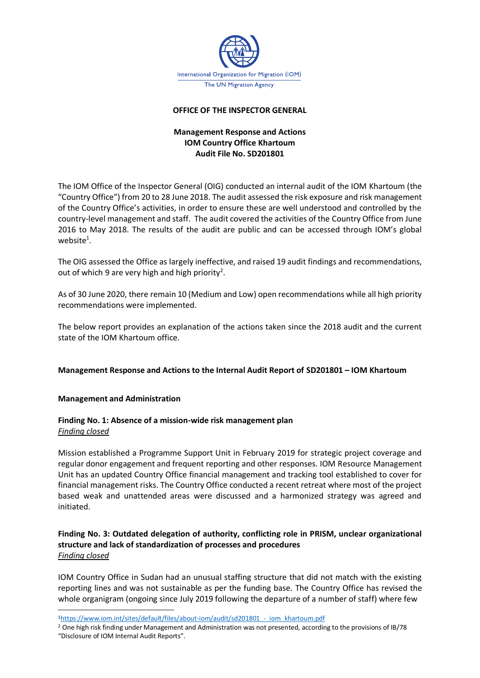

## **OFFICE OF THE INSPECTOR GENERAL**

## **Management Response and Actions IOM Country Office Khartoum Audit File No. SD201801**

The IOM Office of the Inspector General (OIG) conducted an internal audit of the IOM Khartoum (the "Country Office") from 20 to 28 June 2018. The audit assessed the risk exposure and risk management of the Country Office's activities, in order to ensure these are well understood and controlled by the country-level management and staff. The audit covered the activities of the Country Office from June 2016 to May 2018. The results of the audit are public and can be accessed through IOM's global website $^1$ .

The OIG assessed the Office as largely ineffective, and raised 19 audit findings and recommendations, out of which 9 are very high and high priority<sup>2</sup>.

As of 30 June 2020, there remain 10 (Medium and Low) open recommendations while all high priority recommendations were implemented.

The below report provides an explanation of the actions taken since the 2018 audit and the current state of the IOM Khartoum office.

## **Management Response and Actions to the Internal Audit Report of SD201801 – IOM Khartoum**

## **Management and Administration**

## **Finding No. 1: Absence of a mission-wide risk management plan** *Finding closed*

Mission established a Programme Support Unit in February 2019 for strategic project coverage and regular donor engagement and frequent reporting and other responses. IOM Resource Management Unit has an updated Country Office financial management and tracking tool established to cover for financial management risks. The Country Office conducted a recent retreat where most of the project based weak and unattended areas were discussed and a harmonized strategy was agreed and initiated.

## **Finding No. 3: Outdated delegation of authority, conflicting role in PRISM, unclear organizational structure and lack of standardization of processes and procedures**  *Finding closed*

IOM Country Office in Sudan had an unusual staffing structure that did not match with the existing reporting lines and was not sustainable as per the funding base. The Country Office has revised the whole organigram (ongoing since July 2019 following the departure of a number of staff) where few

<sup>1</sup>[https://www.iom.int/sites/default/files/about-iom/audit/sd201801\\_-\\_iom\\_khartoum.pdf](https://www.iom.int/sites/default/files/about-iom/audit/sd201801_-_iom_khartoum.pdf)

<sup>2</sup> One high risk finding under Management and Administration was not presented, according to the provisions of IB/78 "Disclosure of IOM Internal Audit Reports".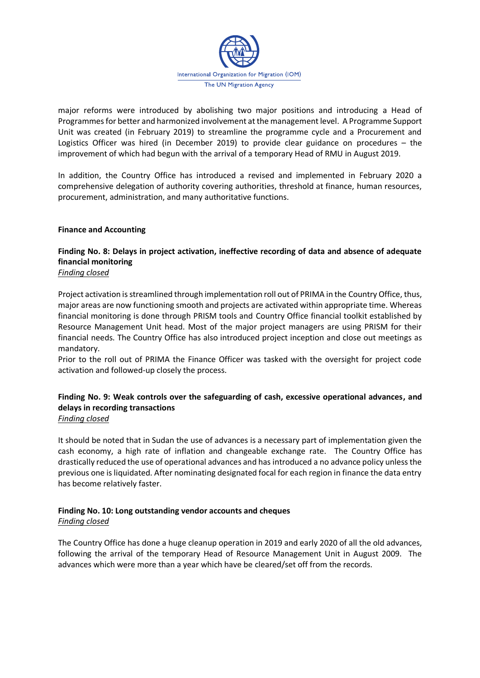

major reforms were introduced by abolishing two major positions and introducing a Head of Programmesfor better and harmonized involvement at the management level. A Programme Support Unit was created (in February 2019) to streamline the programme cycle and a Procurement and Logistics Officer was hired (in December 2019) to provide clear guidance on procedures – the improvement of which had begun with the arrival of a temporary Head of RMU in August 2019.

In addition, the Country Office has introduced a revised and implemented in February 2020 a comprehensive delegation of authority covering authorities, threshold at finance, human resources, procurement, administration, and many authoritative functions.

## **Finance and Accounting**

## **Finding No. 8: Delays in project activation, ineffective recording of data and absence of adequate financial monitoring**

*Finding closed*

Project activation is streamlined through implementation roll out of PRIMA in the Country Office, thus, major areas are now functioning smooth and projects are activated within appropriate time. Whereas financial monitoring is done through PRISM tools and Country Office financial toolkit established by Resource Management Unit head. Most of the major project managers are using PRISM for their financial needs. The Country Office has also introduced project inception and close out meetings as mandatory.

Prior to the roll out of PRIMA the Finance Officer was tasked with the oversight for project code activation and followed-up closely the process.

# **Finding No. 9: Weak controls over the safeguarding of cash, excessive operational advances, and delays in recording transactions**

*Finding closed*

It should be noted that in Sudan the use of advances is a necessary part of implementation given the cash economy, a high rate of inflation and changeable exchange rate. The Country Office has drastically reduced the use of operational advances and has introduced a no advance policy unless the previous one is liquidated. After nominating designated focal for each region in finance the data entry has become relatively faster.

## **Finding No. 10: Long outstanding vendor accounts and cheques**  *Finding closed*

The Country Office has done a huge cleanup operation in 2019 and early 2020 of all the old advances, following the arrival of the temporary Head of Resource Management Unit in August 2009. The advances which were more than a year which have be cleared/set off from the records.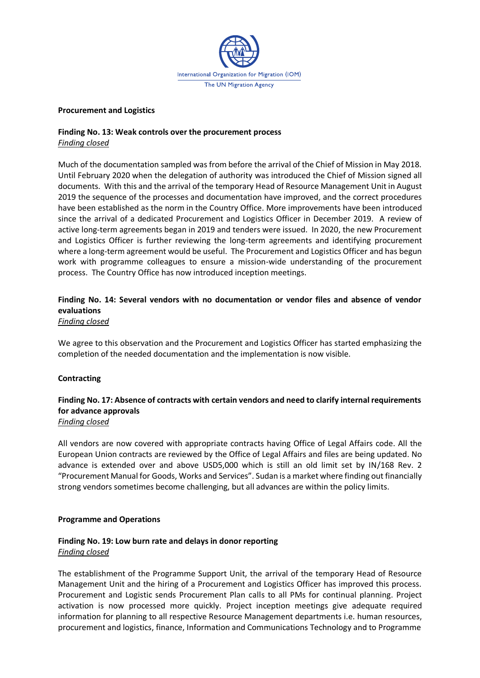

#### **Procurement and Logistics**

## **Finding No. 13: Weak controls over the procurement process**  *Finding closed*

Much of the documentation sampled was from before the arrival of the Chief of Mission in May 2018. Until February 2020 when the delegation of authority was introduced the Chief of Mission signed all documents. With this and the arrival of the temporary Head of Resource Management Unit in August 2019 the sequence of the processes and documentation have improved, and the correct procedures have been established as the norm in the Country Office. More improvements have been introduced since the arrival of a dedicated Procurement and Logistics Officer in December 2019. A review of active long-term agreements began in 2019 and tenders were issued. In 2020, the new Procurement and Logistics Officer is further reviewing the long-term agreements and identifying procurement where a long-term agreement would be useful. The Procurement and Logistics Officer and has begun work with programme colleagues to ensure a mission-wide understanding of the procurement process. The Country Office has now introduced inception meetings.

## **Finding No. 14: Several vendors with no documentation or vendor files and absence of vendor evaluations**

*Finding closed*

We agree to this observation and the Procurement and Logistics Officer has started emphasizing the completion of the needed documentation and the implementation is now visible.

## **Contracting**

## **Finding No. 17: Absence of contracts with certain vendors and need to clarify internal requirements for advance approvals**

#### *Finding closed*

All vendors are now covered with appropriate contracts having Office of Legal Affairs code. All the European Union contracts are reviewed by the Office of Legal Affairs and files are being updated. No advance is extended over and above USD5,000 which is still an old limit set by IN/168 Rev. 2 "Procurement Manual for Goods, Works and Services". Sudan is a market where finding out financially strong vendors sometimes become challenging, but all advances are within the policy limits.

## **Programme and Operations**

## **Finding No. 19: Low burn rate and delays in donor reporting**  *Finding closed*

The establishment of the Programme Support Unit, the arrival of the temporary Head of Resource Management Unit and the hiring of a Procurement and Logistics Officer has improved this process. Procurement and Logistic sends Procurement Plan calls to all PMs for continual planning. Project activation is now processed more quickly. Project inception meetings give adequate required information for planning to all respective Resource Management departments i.e. human resources, procurement and logistics, finance, Information and Communications Technology and to Programme